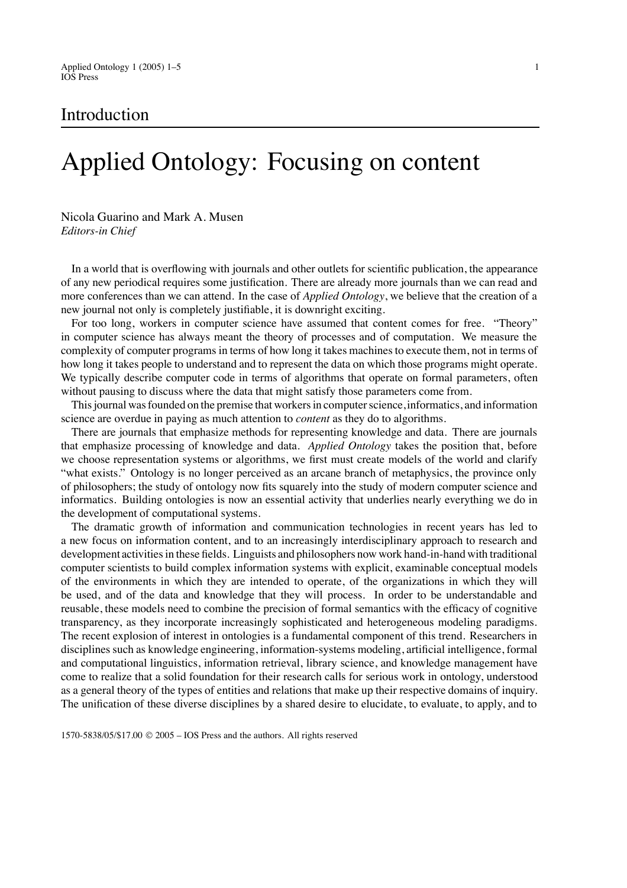## Introduction

## Applied Ontology: Focusing on content

Nicola Guarino and Mark A. Musen *Editors-in Chief*

In a world that is overflowing with journals and other outlets for scientific publication, the appearance of any new periodical requires some justification. There are already more journals than we can read and more conferences than we can attend. In the case of *Applied Ontology*, we believe that the creation of a new journal not only is completely justifiable, it is downright exciting.

For too long, workers in computer science have assumed that content comes for free. "Theory" in computer science has always meant the theory of processes and of computation. We measure the complexity of computer programs in terms of how long it takes machines to execute them, not in terms of how long it takes people to understand and to represent the data on which those programs might operate. We typically describe computer code in terms of algorithms that operate on formal parameters, often without pausing to discuss where the data that might satisfy those parameters come from.

This journal was founded on the premise that workers in computer science,informatics, and information science are overdue in paying as much attention to *content* as they do to algorithms.

There are journals that emphasize methods for representing knowledge and data. There are journals that emphasize processing of knowledge and data. *Applied Ontology* takes the position that, before we choose representation systems or algorithms, we first must create models of the world and clarify "what exists." Ontology is no longer perceived as an arcane branch of metaphysics, the province only of philosophers; the study of ontology now fits squarely into the study of modern computer science and informatics. Building ontologies is now an essential activity that underlies nearly everything we do in the development of computational systems.

The dramatic growth of information and communication technologies in recent years has led to a new focus on information content, and to an increasingly interdisciplinary approach to research and development activities in these fields. Linguists and philosophers now work hand-in-hand with traditional computer scientists to build complex information systems with explicit, examinable conceptual models of the environments in which they are intended to operate, of the organizations in which they will be used, and of the data and knowledge that they will process. In order to be understandable and reusable, these models need to combine the precision of formal semantics with the efficacy of cognitive transparency, as they incorporate increasingly sophisticated and heterogeneous modeling paradigms. The recent explosion of interest in ontologies is a fundamental component of this trend. Researchers in disciplines such as knowledge engineering, information-systems modeling, artificial intelligence, formal and computational linguistics, information retrieval, library science, and knowledge management have come to realize that a solid foundation for their research calls for serious work in ontology, understood as a general theory of the types of entities and relations that make up their respective domains of inquiry. The unification of these diverse disciplines by a shared desire to elucidate, to evaluate, to apply, and to

1570-5838/05/\$17.00 2005 – IOS Press and the authors. All rights reserved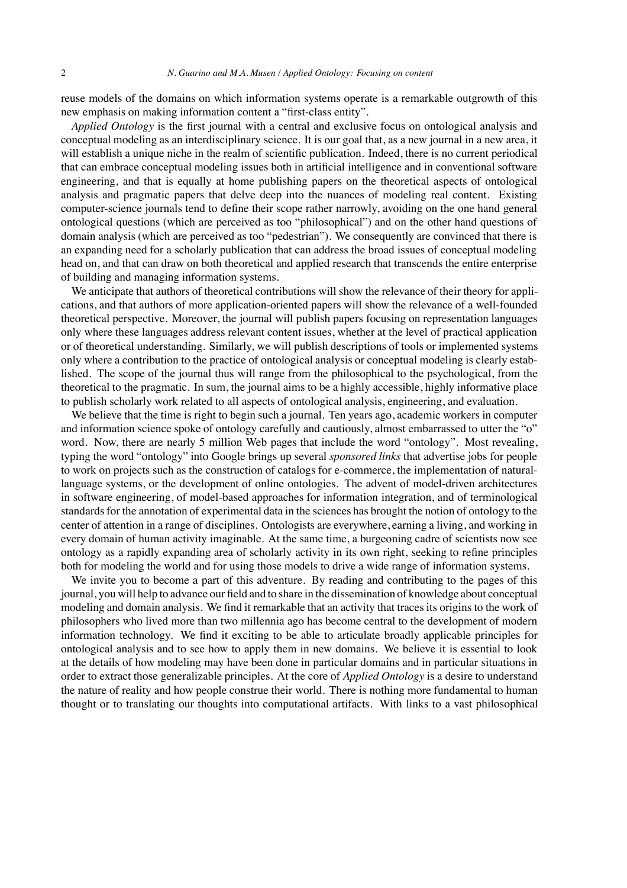reuse models of the domains on which information systems operate is a remarkable outgrowth of this new emphasis on making information content a "first-class entity".

*Applied Ontology* is the first journal with a central and exclusive focus on ontological analysis and conceptual modeling as an interdisciplinary science. It is our goal that, as a new journal in a new area, it will establish a unique niche in the realm of scientific publication. Indeed, there is no current periodical that can embrace conceptual modeling issues both in artificial intelligence and in conventional software engineering, and that is equally at home publishing papers on the theoretical aspects of ontological analysis and pragmatic papers that delve deep into the nuances of modeling real content. Existing computer-science journals tend to define their scope rather narrowly, avoiding on the one hand general ontological questions (which are perceived as too "philosophical") and on the other hand questions of domain analysis (which are perceived as too "pedestrian"). We consequently are convinced that there is an expanding need for a scholarly publication that can address the broad issues of conceptual modeling head on, and that can draw on both theoretical and applied research that transcends the entire enterprise of building and managing information systems.

We anticipate that authors of theoretical contributions will show the relevance of their theory for applications, and that authors of more application-oriented papers will show the relevance of a well-founded theoretical perspective. Moreover, the journal will publish papers focusing on representation languages only where these languages address relevant content issues, whether at the level of practical application or of theoretical understanding. Similarly, we will publish descriptions of tools or implemented systems only where a contribution to the practice of ontological analysis or conceptual modeling is clearly established. The scope of the journal thus will range from the philosophical to the psychological, from the theoretical to the pragmatic. In sum, the journal aims to be a highly accessible, highly informative place to publish scholarly work related to all aspects of ontological analysis, engineering, and evaluation.

We believe that the time is right to begin such a journal. Ten years ago, academic workers in computer and information science spoke of ontology carefully and cautiously, almost embarrassed to utter the "o" word. Now, there are nearly 5 million Web pages that include the word "ontology". Most revealing, typing the word "ontology" into Google brings up several *sponsored links* that advertise jobs for people to work on projects such as the construction of catalogs for e-commerce, the implementation of naturallanguage systems, or the development of online ontologies. The advent of model-driven architectures in software engineering, of model-based approaches for information integration, and of terminological standards for the annotation of experimental data in the sciences has brought the notion of ontology to the center of attention in a range of disciplines. Ontologists are everywhere, earning a living, and working in every domain of human activity imaginable. At the same time, a burgeoning cadre of scientists now see ontology as a rapidly expanding area of scholarly activity in its own right, seeking to refine principles both for modeling the world and for using those models to drive a wide range of information systems.

We invite you to become a part of this adventure. By reading and contributing to the pages of this journal, you will help to advance our field and to share in the dissemination of knowledge about conceptual modeling and domain analysis. We find it remarkable that an activity that traces its origins to the work of philosophers who lived more than two millennia ago has become central to the development of modern information technology. We find it exciting to be able to articulate broadly applicable principles for ontological analysis and to see how to apply them in new domains. We believe it is essential to look at the details of how modeling may have been done in particular domains and in particular situations in order to extract those generalizable principles. At the core of *Applied Ontology* is a desire to understand the nature of reality and how people construe their world. There is nothing more fundamental to human thought or to translating our thoughts into computational artifacts. With links to a vast philosophical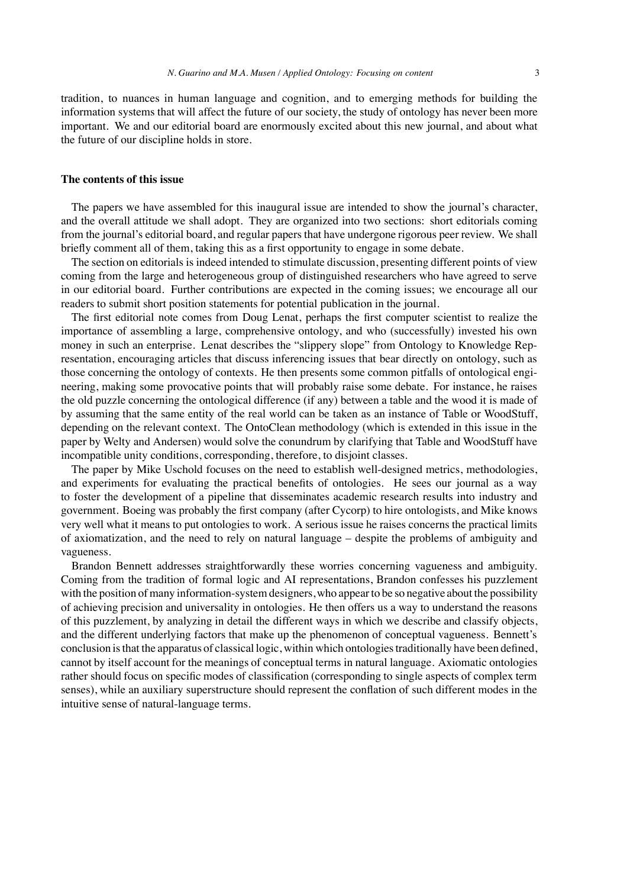tradition, to nuances in human language and cognition, and to emerging methods for building the information systems that will affect the future of our society, the study of ontology has never been more important. We and our editorial board are enormously excited about this new journal, and about what the future of our discipline holds in store.

## **The contents of this issue**

The papers we have assembled for this inaugural issue are intended to show the journal's character, and the overall attitude we shall adopt. They are organized into two sections: short editorials coming from the journal's editorial board, and regular papers that have undergone rigorous peer review. We shall briefly comment all of them, taking this as a first opportunity to engage in some debate.

The section on editorials is indeed intended to stimulate discussion, presenting different points of view coming from the large and heterogeneous group of distinguished researchers who have agreed to serve in our editorial board. Further contributions are expected in the coming issues; we encourage all our readers to submit short position statements for potential publication in the journal.

The first editorial note comes from Doug Lenat, perhaps the first computer scientist to realize the importance of assembling a large, comprehensive ontology, and who (successfully) invested his own money in such an enterprise. Lenat describes the "slippery slope" from Ontology to Knowledge Representation, encouraging articles that discuss inferencing issues that bear directly on ontology, such as those concerning the ontology of contexts. He then presents some common pitfalls of ontological engineering, making some provocative points that will probably raise some debate. For instance, he raises the old puzzle concerning the ontological difference (if any) between a table and the wood it is made of by assuming that the same entity of the real world can be taken as an instance of Table or WoodStuff, depending on the relevant context. The OntoClean methodology (which is extended in this issue in the paper by Welty and Andersen) would solve the conundrum by clarifying that Table and WoodStuff have incompatible unity conditions, corresponding, therefore, to disjoint classes.

The paper by Mike Uschold focuses on the need to establish well-designed metrics, methodologies, and experiments for evaluating the practical benefits of ontologies. He sees our journal as a way to foster the development of a pipeline that disseminates academic research results into industry and government. Boeing was probably the first company (after Cycorp) to hire ontologists, and Mike knows very well what it means to put ontologies to work. A serious issue he raises concerns the practical limits of axiomatization, and the need to rely on natural language – despite the problems of ambiguity and vagueness.

Brandon Bennett addresses straightforwardly these worries concerning vagueness and ambiguity. Coming from the tradition of formal logic and AI representations, Brandon confesses his puzzlement with the position of many information-system designers, who appear to be so negative about the possibility of achieving precision and universality in ontologies. He then offers us a way to understand the reasons of this puzzlement, by analyzing in detail the different ways in which we describe and classify objects, and the different underlying factors that make up the phenomenon of conceptual vagueness. Bennett's conclusion is that the apparatus of classical logic, within which ontologies traditionally have been defined, cannot by itself account for the meanings of conceptual terms in natural language. Axiomatic ontologies rather should focus on specific modes of classification (corresponding to single aspects of complex term senses), while an auxiliary superstructure should represent the conflation of such different modes in the intuitive sense of natural-language terms.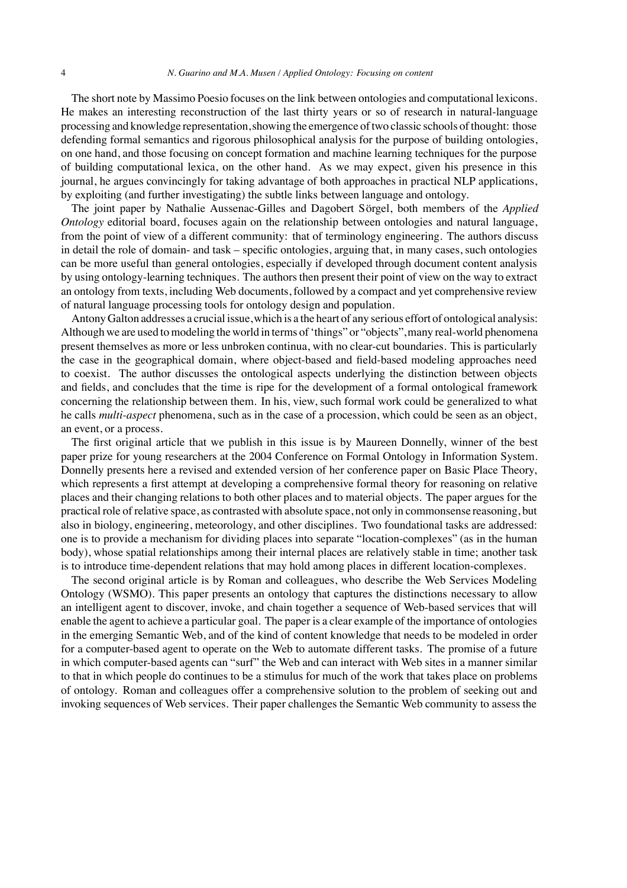The short note by Massimo Poesio focuses on the link between ontologies and computational lexicons. He makes an interesting reconstruction of the last thirty years or so of research in natural-language processing and knowledge representation, showing the emergence of two classic schools of thought: those defending formal semantics and rigorous philosophical analysis for the purpose of building ontologies, on one hand, and those focusing on concept formation and machine learning techniques for the purpose of building computational lexica, on the other hand. As we may expect, given his presence in this journal, he argues convincingly for taking advantage of both approaches in practical NLP applications, by exploiting (and further investigating) the subtle links between language and ontology.

The joint paper by Nathalie Aussenac-Gilles and Dagobert Sörgel, both members of the *Applied Ontology* editorial board, focuses again on the relationship between ontologies and natural language, from the point of view of a different community: that of terminology engineering. The authors discuss in detail the role of domain- and task – specific ontologies, arguing that, in many cases, such ontologies can be more useful than general ontologies, especially if developed through document content analysis by using ontology-learning techniques. The authors then present their point of view on the way to extract an ontology from texts, including Web documents, followed by a compact and yet comprehensive review of natural language processing tools for ontology design and population.

Antony Galton addresses a crucial issue,which is a the heart of any serious effort of ontological analysis: Although we are used to modeling the world in terms of 'things" or "objects",many real-world phenomena present themselves as more or less unbroken continua, with no clear-cut boundaries. This is particularly the case in the geographical domain, where object-based and field-based modeling approaches need to coexist. The author discusses the ontological aspects underlying the distinction between objects and fields, and concludes that the time is ripe for the development of a formal ontological framework concerning the relationship between them. In his, view, such formal work could be generalized to what he calls *multi-aspect* phenomena, such as in the case of a procession, which could be seen as an object, an event, or a process.

The first original article that we publish in this issue is by Maureen Donnelly, winner of the best paper prize for young researchers at the 2004 Conference on Formal Ontology in Information System. Donnelly presents here a revised and extended version of her conference paper on Basic Place Theory, which represents a first attempt at developing a comprehensive formal theory for reasoning on relative places and their changing relations to both other places and to material objects. The paper argues for the practical role of relative space, as contrasted with absolute space, not only in commonsense reasoning, but also in biology, engineering, meteorology, and other disciplines. Two foundational tasks are addressed: one is to provide a mechanism for dividing places into separate "location-complexes" (as in the human body), whose spatial relationships among their internal places are relatively stable in time; another task is to introduce time-dependent relations that may hold among places in different location-complexes.

The second original article is by Roman and colleagues, who describe the Web Services Modeling Ontology (WSMO). This paper presents an ontology that captures the distinctions necessary to allow an intelligent agent to discover, invoke, and chain together a sequence of Web-based services that will enable the agent to achieve a particular goal. The paper is a clear example of the importance of ontologies in the emerging Semantic Web, and of the kind of content knowledge that needs to be modeled in order for a computer-based agent to operate on the Web to automate different tasks. The promise of a future in which computer-based agents can "surf" the Web and can interact with Web sites in a manner similar to that in which people do continues to be a stimulus for much of the work that takes place on problems of ontology. Roman and colleagues offer a comprehensive solution to the problem of seeking out and invoking sequences of Web services. Their paper challenges the Semantic Web community to assess the